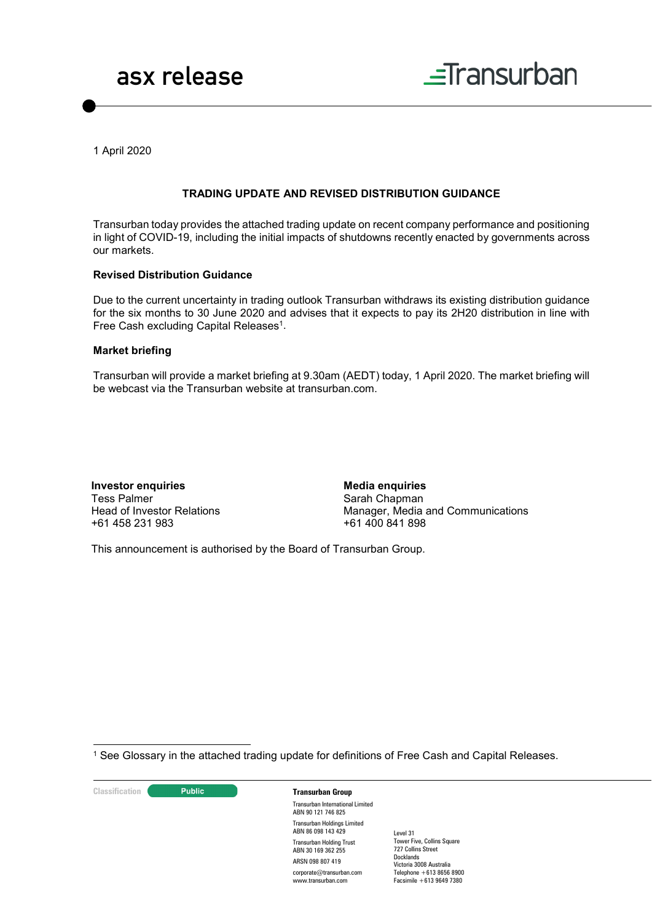



1 April 2020

### **TRADING UPDATE AND REVISED DISTRIBUTION GUIDANCE**

Transurban today provides the attached trading update on recent company performance and positioning in light of COVID-19, including the initial impacts of shutdowns recently enacted by governments across our markets.

### **Revised Distribution Guidance**

Due to the current uncertainty in trading outlook Transurban withdraws its existing distribution guidance for the six months to 30 June 2020 and advises that it expects to pay its 2H20 distribution in line with Free Cash excluding Capital Releases<sup>1</sup>.

### **Market briefing**

Transurban will provide a market briefing at 9.30am (AEDT) today, 1 April 2020. The market briefing will be webcast via the Transurban website at transurban.com.

**Investor enquiries** Tess Palmer Head of Investor Relations +61 458 231 983

**Media enquiries** Sarah Chapman Manager, Media and Communications +61 400 841 898

This announcement is authorised by the Board of Transurban Group.

1 See Glossary in the attached trading update for definitions of Free Cash and Capital Releases.

**Classification Constitution Transurban Group** 

Transurban International Limited ABN 90 121 746 825 Transurban Holdings Limited ABN 86 098 143 429 Transurban Holding Trust ABN 30 169 362 255 ARSN 098 807 419 corporate@transurban.com www.transurban.com

Level 31 Tower Five, Collins Square 727 Collins Street Docklands Victoria 3008 Australia Telephone +613 8656 8900 Facsimile +613 9649 7380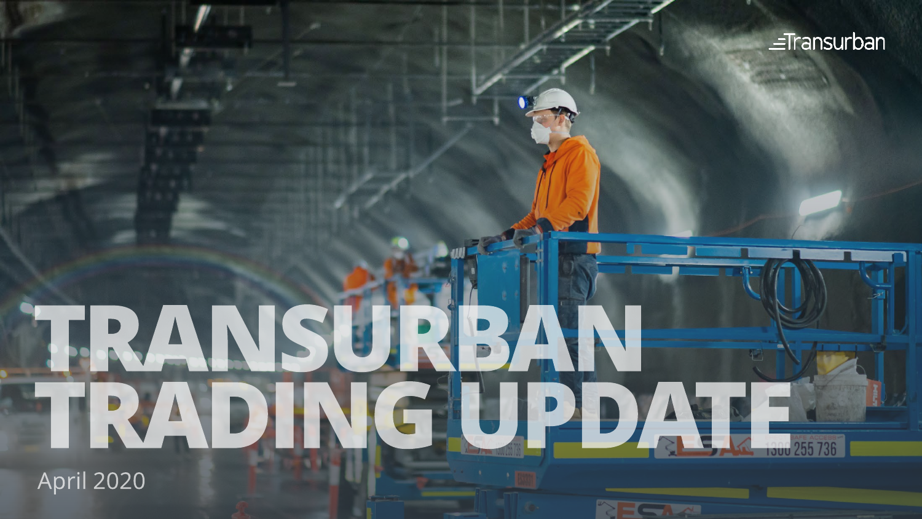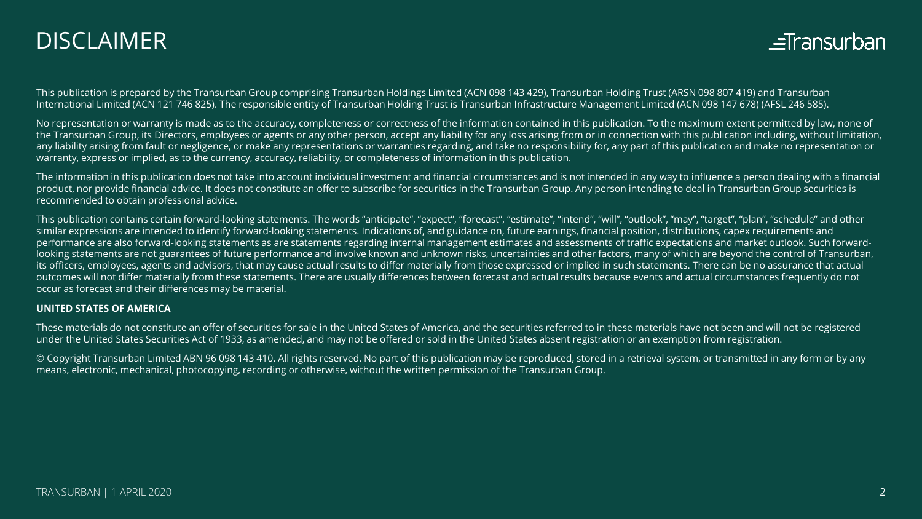## DISCLAIMER



This publication is prepared by the Transurban Group comprising Transurban Holdings Limited (ACN 098 143 429), Transurban Holding Trust (ARSN 098 807 419) and Transurban International Limited (ACN 121 746 825). The responsible entity of Transurban Holding Trust is Transurban Infrastructure Management Limited (ACN 098 147 678) (AFSL 246 585).

No representation or warranty is made as to the accuracy, completeness or correctness of the information contained in this publication. To the maximum extent permitted by law, none of the Transurban Group, its Directors, employees or agents or any other person, accept any liability for any loss arising from or in connection with this publication including, without limitation, any liability arising from fault or negligence, or make any representations or warranties regarding, and take no responsibility for, any part of this publication and make no representation or warranty, express or implied, as to the currency, accuracy, reliability, or completeness of information in this publication.

The information in this publication does not take into account individual investment and financial circumstances and is not intended in any way to influence a person dealing with a financial product, nor provide financial advice. It does not constitute an offer to subscribe for securities in the Transurban Group. Any person intending to deal in Transurban Group securities is recommended to obtain professional advice.

This publication contains certain forward-looking statements. The words "anticipate", "expect", "forecast", "estimate", "intend", "will", "outlook", "may", "target", "plan", "schedule" and other similar expressions are intended to identify forward-looking statements. Indications of, and guidance on, future earnings, financial position, distributions, capex requirements and performance are also forward-looking statements as are statements regarding internal management estimates and assessments of traffic expectations and market outlook. Such forwardlooking statements are not guarantees of future performance and involve known and unknown risks, uncertainties and other factors, many of which are beyond the control of Transurban, its officers, employees, agents and advisors, that may cause actual results to differ materially from those expressed or implied in such statements. There can be no assurance that actual outcomes will not differ materially from these statements. There are usually differences between forecast and actual results because events and actual circumstances frequently do not occur as forecast and their differences may be material.

#### **UNITED STATES OF AMERICA**

These materials do not constitute an offer of securities for sale in the United States of America, and the securities referred to in these materials have not been and will not be registered under the United States Securities Act of 1933, as amended, and may not be offered or sold in the United States absent registration or an exemption from registration.

© Copyright Transurban Limited ABN 96 098 143 410. All rights reserved. No part of this publication may be reproduced, stored in a retrieval system, or transmitted in any form or by any means, electronic, mechanical, photocopying, recording or otherwise, without the written permission of the Transurban Group.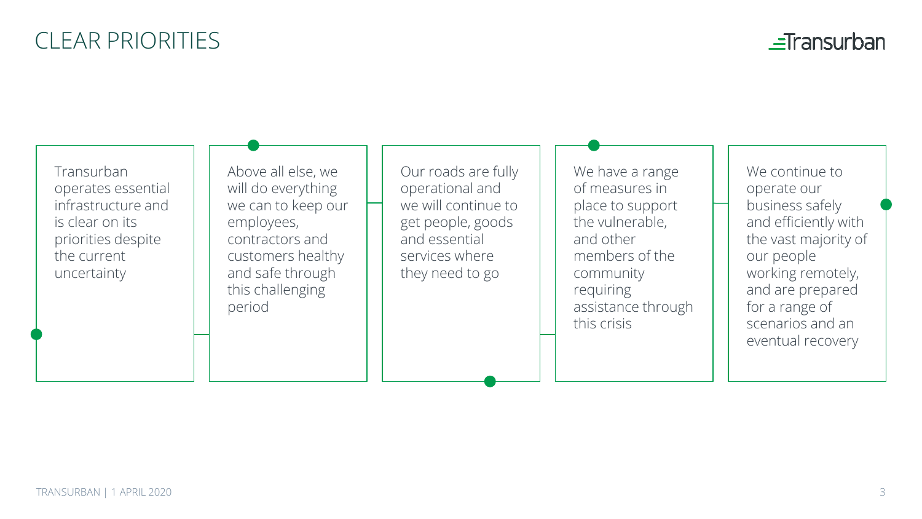# CLEAR PRIORITIES

 $\equiv$ Transurban

Transurban operates essential infrastructure and is clear on its priorities despite the current uncertainty

Above all else, we will do everything we can to keep our employees, contractors and customers healthy and safe through this challenging period

Our roads are fully operational and we will continue to get people, goods and essential services where they need to go

We have a range of measures in place to support the vulnerable, and other members of the community requiring assistance through this crisis

We continue to operate our business safely and efficiently with the vast majority of our people working remotely, and are prepared for a range of scenarios and an eventual recovery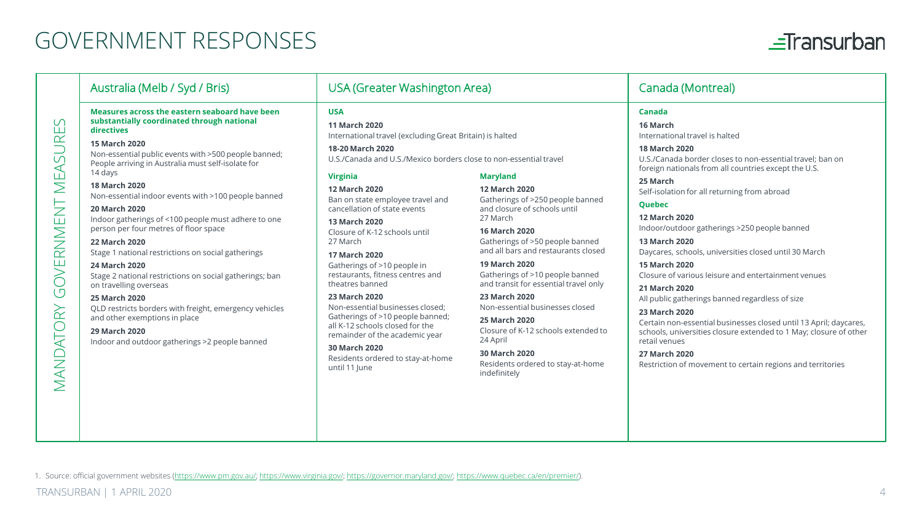## GOVERNMENT RESPONSES



|                                                                                                         | Australia (Melb / Syd / Bris)                                                                                                                                                                                                                                                                                                                                                                                                                                                                                                                                                                                                                                                                                                                                                                             | USA (Greater Washington Area)                                                                                                                                                                                                                                                                                                                                                                                                                                                                                                                                                                                                                                                                      |                                                                                                                                                                                                                                                                                                                                                                                                                                                                                                        | Canada (Montreal)                                                                                                                                                                                                                                                                                                                                                                                                                                                                                                                                                                                                                                                                                                                                                                                                  |
|---------------------------------------------------------------------------------------------------------|-----------------------------------------------------------------------------------------------------------------------------------------------------------------------------------------------------------------------------------------------------------------------------------------------------------------------------------------------------------------------------------------------------------------------------------------------------------------------------------------------------------------------------------------------------------------------------------------------------------------------------------------------------------------------------------------------------------------------------------------------------------------------------------------------------------|----------------------------------------------------------------------------------------------------------------------------------------------------------------------------------------------------------------------------------------------------------------------------------------------------------------------------------------------------------------------------------------------------------------------------------------------------------------------------------------------------------------------------------------------------------------------------------------------------------------------------------------------------------------------------------------------------|--------------------------------------------------------------------------------------------------------------------------------------------------------------------------------------------------------------------------------------------------------------------------------------------------------------------------------------------------------------------------------------------------------------------------------------------------------------------------------------------------------|--------------------------------------------------------------------------------------------------------------------------------------------------------------------------------------------------------------------------------------------------------------------------------------------------------------------------------------------------------------------------------------------------------------------------------------------------------------------------------------------------------------------------------------------------------------------------------------------------------------------------------------------------------------------------------------------------------------------------------------------------------------------------------------------------------------------|
| S<br><b>SURE</b><br>⋖<br>ΜĒ,<br>$\overline{z}$<br>RNMEI<br>OVEI<br>$\bar{\cup}$<br>$\approx$<br>MANDATO | Measures across the eastern seaboard have been<br>substantially coordinated through national<br>directives<br>15 March 2020<br>Non-essential public events with >500 people banned;<br>People arriving in Australia must self-isolate for<br>14 days<br>18 March 2020<br>Non-essential indoor events with >100 people banned<br>20 March 2020<br>Indoor gatherings of <100 people must adhere to one<br>person per four metres of floor space<br>22 March 2020<br>Stage 1 national restrictions on social gatherings<br>24 March 2020<br>Stage 2 national restrictions on social gatherings; ban<br>on travelling overseas<br>25 March 2020<br>QLD restricts borders with freight, emergency vehicles<br>and other exemptions in place<br>29 March 2020<br>Indoor and outdoor gatherings >2 people banned | <b>USA</b><br>11 March 2020<br>International travel (excluding Great Britain) is halted<br>18-20 March 2020<br>U.S./Canada and U.S./Mexico borders close to non-essential travel<br><b>Virginia</b><br>12 March 2020<br>Ban on state employee travel and<br>cancellation of state events<br>13 March 2020<br>Closure of K-12 schools until<br>27 March<br>17 March 2020<br>Gatherings of >10 people in<br>restaurants, fitness centres and<br>theatres banned<br>23 March 2020<br>Non-essential businesses closed:<br>Gatherings of >10 people banned;<br>all K-12 schools closed for the<br>remainder of the academic year<br>30 March 2020<br>Residents ordered to stay-at-home<br>until 11 June | <b>Maryland</b><br>12 March 2020<br>Gatherings of >250 people banned<br>and closure of schools until<br>27 March<br>16 March 2020<br>Gatherings of >50 people banned<br>and all bars and restaurants closed<br>19 March 2020<br>Gatherings of >10 people banned<br>and transit for essential travel only<br>23 March 2020<br>Non-essential businesses closed<br>25 March 2020<br>Closure of K-12 schools extended to<br>24 April<br>30 March 2020<br>Residents ordered to stay-at-home<br>indefinitely | Canada<br>16 March<br>International travel is halted<br>18 March 2020<br>U.S./Canada border closes to non-essential travel; ban on<br>foreign nationals from all countries except the U.S.<br>25 March<br>Self-isolation for all returning from abroad<br>Quebec<br>12 March 2020<br>Indoor/outdoor gatherings >250 people banned<br>13 March 2020<br>Daycares, schools, universities closed until 30 March<br>15 March 2020<br>Closure of various leisure and entertainment venues<br>21 March 2020<br>All public gatherings banned regardless of size<br>23 March 2020<br>Certain non-essential businesses closed until 13 April; daycares,<br>schools, universities closure extended to 1 May; closure of other<br>retail venues<br>27 March 2020<br>Restriction of movement to certain regions and territories |

1. Source: official government websites [\(https://www.pm.gov.au/](https://www.pm.gov.au/);<https://www.virginia.gov/>; [https://governor.maryland.gov/;](https://governor.maryland.gov/) <https://www.quebec.ca/en/premier/>).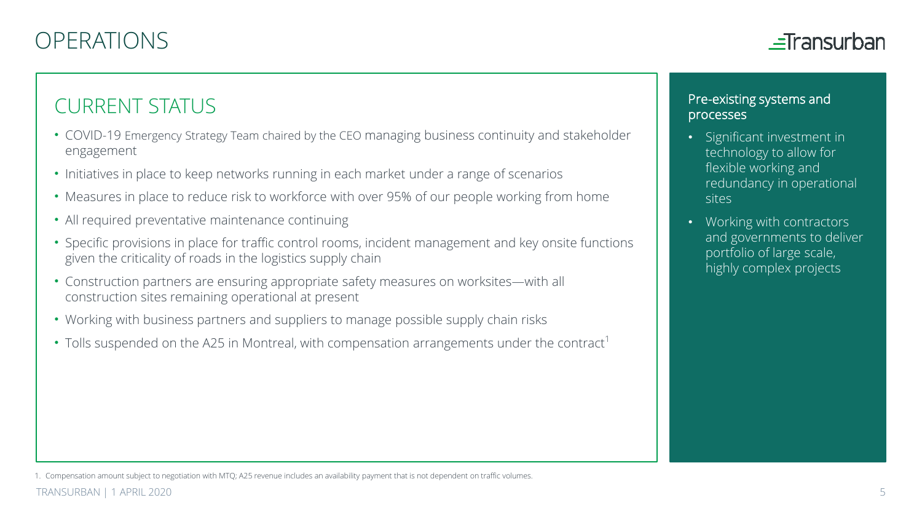

## CURRENT STATUS

- COVID-19 Emergency Strategy Team chaired by the CEO managing business continuity and stakeholder engagement
- Initiatives in place to keep networks running in each market under a range of scenarios
- Measures in place to reduce risk to workforce with over 95% of our people working from home
- All required preventative maintenance continuing
- Specific provisions in place for traffic control rooms, incident management and key onsite functions given the criticality of roads in the logistics supply chain
- Construction partners are ensuring appropriate safety measures on worksites—with all construction sites remaining operational at present
- Working with business partners and suppliers to manage possible supply chain risks
- Tolls suspended on the A25 in Montreal, with compensation arrangements under the contract<sup>1</sup>

### Pre-existing systems and processes

- Significant investment in technology to allow for flexible working and redundancy in operational sites
- Working with contractors and governments to deliver portfolio of large scale, highly complex projects

<sup>1.</sup> Compensation amount subject to negotiation with MTQ; A25 revenue includes an availability payment that is not dependent on traffic volumes.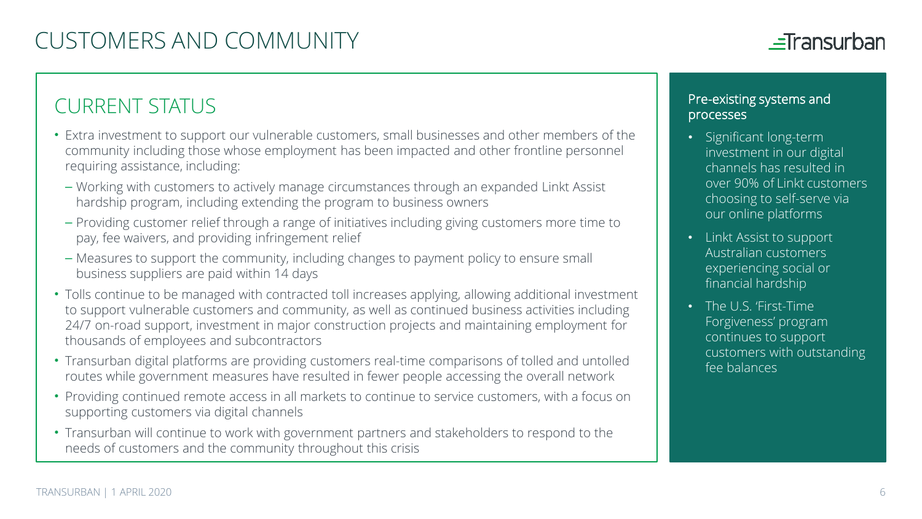## $\equiv$ Transurban

## CURRENT STATUS

- Extra investment to support our vulnerable customers, small businesses and other members of the community including those whose employment has been impacted and other frontline personnel requiring assistance, including:
	- Working with customers to actively manage circumstances through an expanded Linkt Assist hardship program, including extending the program to business owners
- Providing customer relief through a range of initiatives including giving customers more time to pay, fee waivers, and providing infringement relief
- Measures to support the community, including changes to payment policy to ensure small business suppliers are paid within 14 days
- Tolls continue to be managed with contracted toll increases applying, allowing additional investment to support vulnerable customers and community, as well as continued business activities including 24/7 on-road support, investment in major construction projects and maintaining employment for thousands of employees and subcontractors
- Transurban digital platforms are providing customers real-time comparisons of tolled and untolled routes while government measures have resulted in fewer people accessing the overall network
- Providing continued remote access in all markets to continue to service customers, with a focus on supporting customers via digital channels
- Transurban will continue to work with government partners and stakeholders to respond to the needs of customers and the community throughout this crisis

### Pre-existing systems and processes

- Significant long-term investment in our digital channels has resulted in over 90% of Linkt customers choosing to self-serve via our online platforms
- Linkt Assist to support Australian customers experiencing social or financial hardship
- The U.S. 'First-Time Forgiveness' program continues to support customers with outstanding fee balances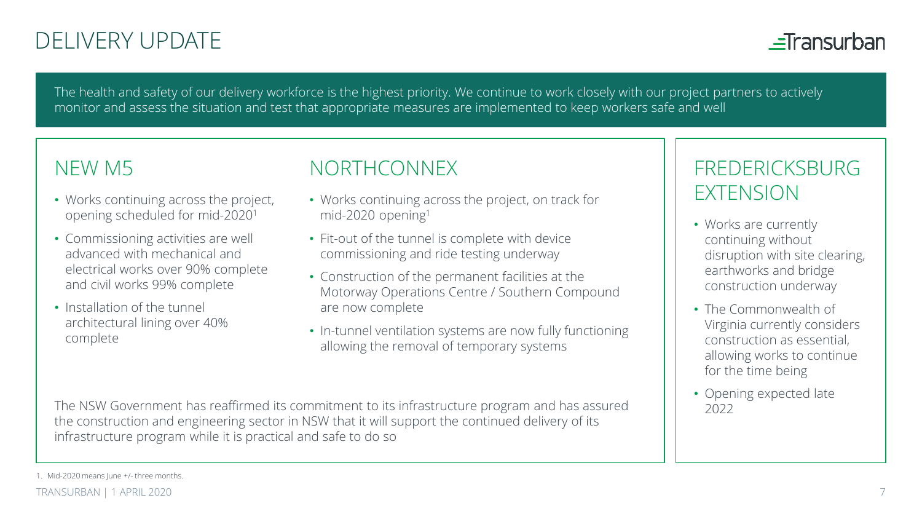# DELIVERY UPDATE

 $=$ Transurban

The health and safety of our delivery workforce is the highest priority. We continue to work closely with our project partners to actively monitor and assess the situation and test that appropriate measures are implemented to keep workers safe and well

## NEW M5

- Works continuing across the project, opening scheduled for mid-20201
- Commissioning activities are well advanced with mechanical and electrical works over 90% complete and civil works 99% complete
- Installation of the tunnel architectural lining over 40% complete

## NORTHCONNEX

- Works continuing across the project, on track for mid-2020 opening1
- Fit-out of the tunnel is complete with device commissioning and ride testing underway
- Construction of the permanent facilities at the Motorway Operations Centre / Southern Compound are now complete
- In-tunnel ventilation systems are now fully functioning allowing the removal of temporary systems

The NSW Government has reaffirmed its commitment to its infrastructure program and has assured  $\begin{pmatrix} \cdot & \cdot & \cdot \\ \cdot & \cdot & \cdot \\ \cdot & \cdot & \cdot & \cdot \\ 2022 & 202 & 202 \end{pmatrix}$ the construction and engineering sector in NSW that it will support the continued delivery of its infrastructure program while it is practical and safe to do so

## FREDERICKSBURG EXTENSION

- Works are currently continuing without disruption with site clearing, earthworks and bridge construction underway
- The Commonwealth of Virginia currently considers construction as essential, allowing works to continue for the time being
- 

1. Mid-2020 means June +/- three months.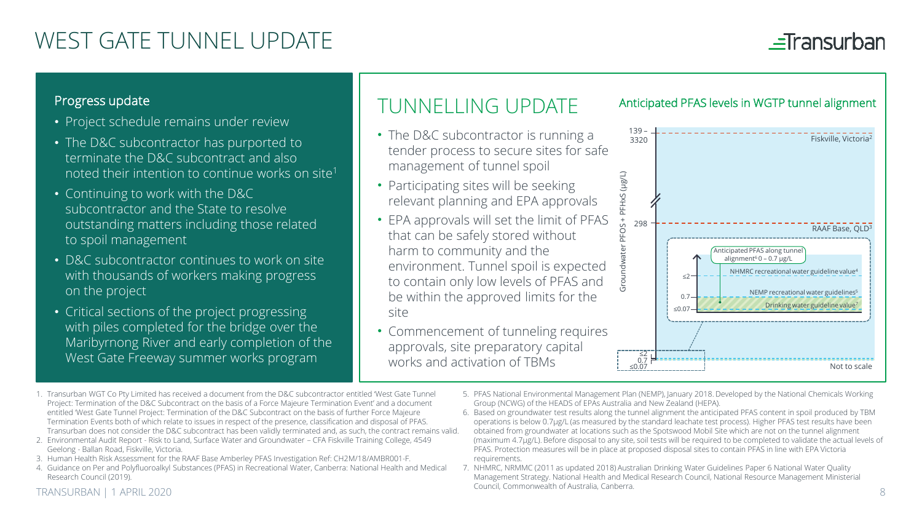# WEST GATE TUNNEL UPDATE

## $\equiv$ Transurban

### Progress update

- Project schedule remains under review
- The D&C subcontractor has purported to terminate the D&C subcontract and also noted their intention to continue works on site1
- Continuing to work with the D&C subcontractor and the State to resolve outstanding matters including those related to spoil management
- D&C subcontractor continues to work on site with thousands of workers making progress on the project
- Critical sections of the project progressing with piles completed for the bridge over the Maribyrnong River and early completion of the West Gate Freeway summer works program

## TUNNELLING UPDATE

- The D&C subcontractor is running a tender process to secure sites for safe management of tunnel spoil
- Participating sites will be seeking relevant planning and EPA approvals
- EPA approvals will set the limit of PFAS that can be safely stored without harm to community and the environment. Tunnel spoil is expected to contain only low levels of PFAS and be within the approved limits for the site
- Commencement of tunneling requires approvals, site preparatory capital works and activation of TBMs



Anticipated PFAS levels in WGTP tunnel alignment

- 1. Transurban WGT Co Pty Limited has received a document from the D&C subcontractor entitled 'West Gate Tunnel Project: Termination of the D&C Subcontract on the basis of a Force Majeure Termination Event' and a document entitled 'West Gate Tunnel Project: Termination of the D&C Subcontract on the basis of further Force Majeure Termination Events both of which relate to issues in respect of the presence, classification and disposal of PFAS. Transurban does not consider the D&C subcontract has been validly terminated and, as such, the contract remains valid.
- 2. Environmental Audit Report Risk to Land, Surface Water and Groundwater CFA Fiskville Training College, 4549 Geelong - Ballan Road, Fiskville, Victoria.
- 3. Human Health Risk Assessment for the RAAF Base Amberley PFAS Investigation Ref: CH2M/18/AMBR001-F.
- 4. Guidance on Per and Polyfluoroalkyl Substances (PFAS) in Recreational Water, Canberra: National Health and Medical Research Council (2019).
- 5. PFAS National Environmental Management Plan (NEMP), January 2018. Developed by the National Chemicals Working Group (NCWG) of the HEADS of EPAs Australia and New Zealand (HEPA).
- 6. Based on groundwater test results along the tunnel alignment the anticipated PFAS content in spoil produced by TBM operations is below 0.7μg/L (as measured by the standard leachate test process). Higher PFAS test results have been obtained from groundwater at locations such as the Spotswood Mobil Site which are not on the tunnel alignment (maximum 4.7μg/L). Before disposal to any site, soil tests will be required to be completed to validate the actual levels of PFAS. Protection measures will be in place at proposed disposal sites to contain PFAS in line with EPA Victoria requirements.
- 7. NHMRC, NRMMC (2011 as updated 2018) Australian Drinking Water Guidelines Paper 6 National Water Quality Management Strategy. National Health and Medical Research Council, National Resource Management Ministerial Council, Commonwealth of Australia, Canberra.

#### TRANSURBAN | 1 APRIL 2020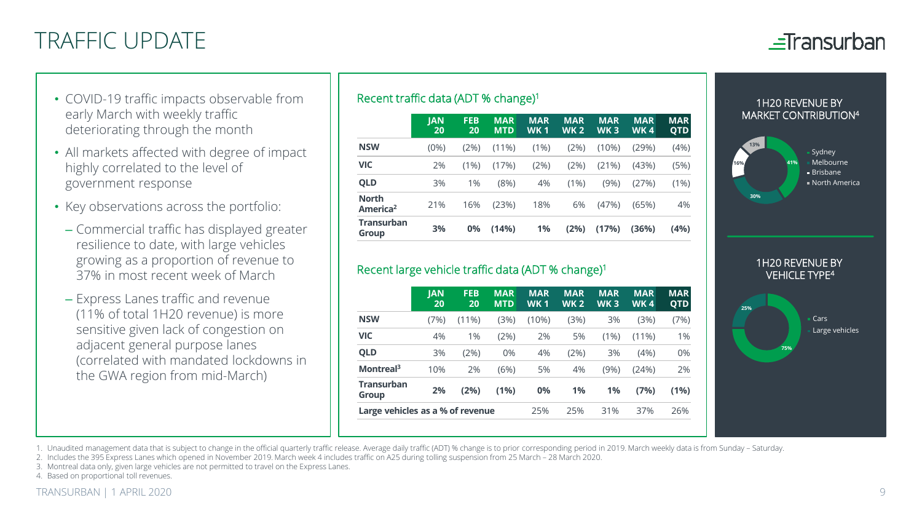# TRAFFIC UPDATE



- COVID-19 traffic impacts observable from early March with weekly traffic deteriorating through the month
- All markets affected with degree of impact highly correlated to the level of government response
- Key observations across the portfolio:
	- Commercial traffic has displayed greater resilience to date, with large vehicles growing as a proportion of revenue to 37% in most recent week of March
	- Express Lanes traffic and revenue (11% of total 1H20 revenue) is more sensitive given lack of congestion on adjacent general purpose lanes (correlated with mandated lockdowns in the GWA region from mid-March)

### Recent traffic data (ADT % change)1

| <b>JAN</b><br>20 | <b>FEB</b><br>20 | <b>MAR</b><br><b>MTD</b> | <b>MAR</b><br><b>WK1</b> | <b>MAR</b><br><b>WK2</b> | <b>MAR</b><br>WK <sub>3</sub> | <b>MAR</b><br><b>WK4</b> | <b>MAR</b><br><b>QTD</b> |
|------------------|------------------|--------------------------|--------------------------|--------------------------|-------------------------------|--------------------------|--------------------------|
| $(0\%)$          | (2%)             | $(11\%)$                 | (1%)                     | (2%)                     | (10%)                         | (29%)                    | (4%)                     |
| 2%               | (1% )            | (17%)                    | (2%)                     | (2%)                     | (21%)                         | (43%)                    | (5%)                     |
| 3%               | 1%               | (8%)                     | 4%                       | (1%)                     | (9%)                          | (27%)                    | (1%)                     |
| 21%              | 16%              | (23%)                    | 18%                      | 6%                       | (47%)                         | (65%)                    | 4%                       |
| 3%               | 0%               | (14%)                    | 1%                       | (2%)                     | (17%)                         | (36%)                    | (4%)                     |
|                  |                  |                          |                          |                          |                               |                          |                          |

### Recent large vehicle traffic data (ADT % change)1

|                                  | <b>IAN</b><br>20 | <b>FEB</b><br>20 | <b>MAR</b><br><b>MTD</b> | <b>MAR</b><br><b>WK1</b> | <b>MAR</b><br><b>WK2</b> | <b>MAR</b><br>WK <sub>3</sub> | <b>MAR</b><br><b>WK4</b> | <b>MAR</b><br><b>QTD</b> |
|----------------------------------|------------------|------------------|--------------------------|--------------------------|--------------------------|-------------------------------|--------------------------|--------------------------|
| <b>NSW</b>                       | (7%)             | (11%)            | (3%)                     | (10%)                    | (3%)                     | 3%                            | (3%)                     | (7%)                     |
| <b>VIC</b>                       | 4%               | 1%               | (2%)                     | 2%                       | 5%                       | (1%)                          | $(11\%)$                 | 1%                       |
| <b>QLD</b>                       | 3%               | (2%)             | 0%                       | 4%                       | (2%)                     | 3%                            | (4%)                     | 0%                       |
| Montreal <sup>3</sup>            | 10%              | 2%               | (6%)                     | 5%                       | 4%                       | (9%)                          | (24%)                    | 2%                       |
| <b>Transurban</b><br>Group       | 2%               | (2%)             | (1%)                     | 0%                       | 1%                       | 1%                            | (7%)                     | (1%)                     |
| Large vehicles as a % of revenue | 25%              | 25%              | 31%                      | 37%                      | 26%                      |                               |                          |                          |
|                                  |                  |                  |                          |                          |                          |                               |                          |                          |

#### 1H20 REVENUE BY MARKET CONTRIBUTION4





1. Unaudited management data that is subject to change in the official quarterly traffic release. Average daily traffic (ADT) % change is to prior corresponding period in 2019. March weekly data is from Sunday – Saturday.

2. Includes the 395 Express Lanes which opened in November 2019. March week 4 includes traffic on A25 during tolling suspension from 25 March – 28 March 2020.

3. Montreal data only, given large vehicles are not permitted to travel on the Express Lanes.

4. Based on proportional toll revenues.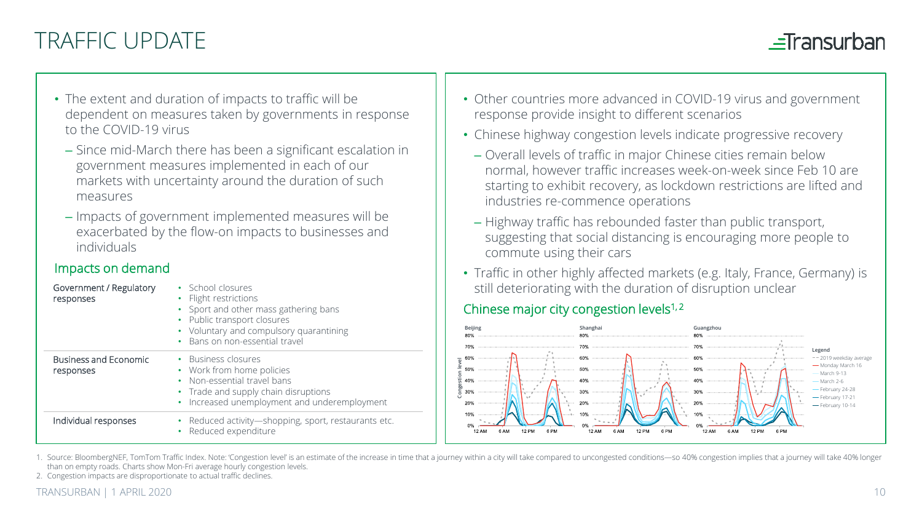# TRAFFIC UPDATE

## $=$ Transurban

- The extent and duration of impacts to traffic will be dependent on measures taken by governments in response to the COVID-19 virus
	- Since mid-March there has been a significant escalation in government measures implemented in each of our markets with uncertainty around the duration of such measures
	- Impacts of government implemented measures will be exacerbated by the flow-on impacts to businesses and individuals

### Impacts on demand

| Government / Regulatory<br>responses | • School closures<br>• Flight restrictions<br>• Sport and other mass gathering bans<br>• Public transport closures<br>• Voluntary and compulsory quarantining<br>• Bans on non-essential travel |
|--------------------------------------|-------------------------------------------------------------------------------------------------------------------------------------------------------------------------------------------------|
| Business and Economic<br>responses   | • Business closures<br>• Work from home policies<br>• Non-essential travel bans<br>• Trade and supply chain disruptions<br>• Increased unemployment and underemployment                         |
| Individual responses                 | • Reduced activity-shopping, sport, restaurants etc.<br>• Reduced expenditure                                                                                                                   |

- Other countries more advanced in COVID-19 virus and government response provide insight to different scenarios
- Chinese highway congestion levels indicate progressive recovery
	- Overall levels of traffic in major Chinese cities remain below normal, however traffic increases week-on-week since Feb 10 are starting to exhibit recovery, as lockdown restrictions are lifted and industries re-commence operations
	- Highway traffic has rebounded faster than public transport, suggesting that social distancing is encouraging more people to commute using their cars
- Traffic in other highly affected markets (e.g. Italy, France, Germany) is still deteriorating with the duration of disruption unclear

## Chinese major city congestion levels<sup>1,2</sup>



1. Source: BloombergNEF, TomTom Traffic Index. Note: 'Congestion level' is an estimate of the increase in time that a journey within a city will take compared to uncongested conditions-so 40% congestion implies that a jour than on empty roads. Charts show Mon-Fri average hourly congestion levels.

2. Congestion impacts are disproportionate to actual traffic declines.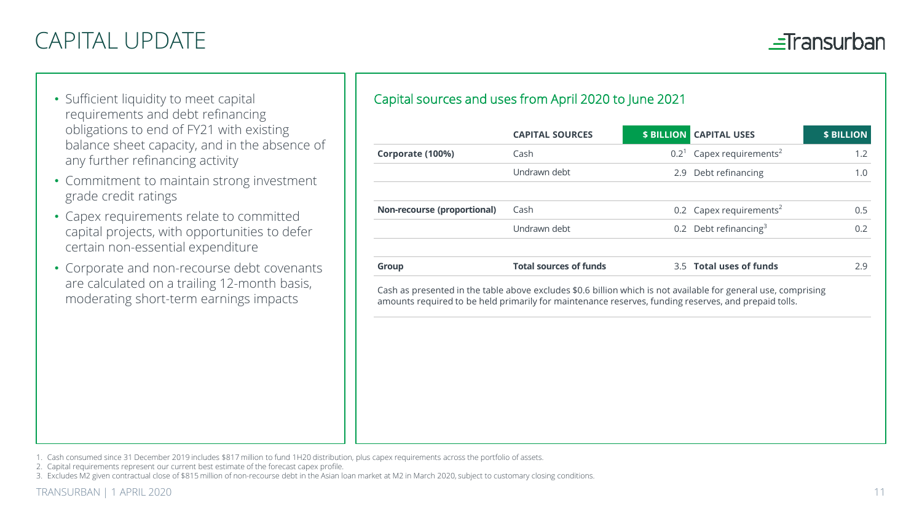# CAPITAL UPDATE

 $\equiv$ Transurban

- Sufficient liquidity to meet capital requirements and debt refinancing obligations to end of FY21 with existing balance sheet capacity, and in the absence of any further refinancing activity
- Commitment to maintain strong investment grade credit ratings
- Capex requirements relate to committed capital projects, with opportunities to defer certain non-essential expenditure
- Corporate and non-recourse debt covenants are calculated on a trailing 12-month basis, moderating short-term earnings impacts

### Capital sources and uses from April 2020 to June 2021

|                                                                                                                                                                                                                        | <b>CAPITAL SOURCES</b>        | <b>\$ BILLION</b> | <b>CAPITAL USES</b>                 | <b>\$ BILLION</b> |
|------------------------------------------------------------------------------------------------------------------------------------------------------------------------------------------------------------------------|-------------------------------|-------------------|-------------------------------------|-------------------|
| Corporate (100%)                                                                                                                                                                                                       | Cash                          | $0.2^1$           | Capex requirements <sup>2</sup>     | 1.2               |
|                                                                                                                                                                                                                        | Undrawn debt                  | 2.9               | Debt refinancing                    | 1.0               |
| Non-recourse (proportional)                                                                                                                                                                                            | Cash                          |                   | 0.2 Capex requirements <sup>2</sup> | 0.5               |
|                                                                                                                                                                                                                        | Undrawn debt                  |                   | 0.2 Debt refinancing <sup>3</sup>   | 0.2               |
| Group                                                                                                                                                                                                                  | <b>Total sources of funds</b> |                   | 3.5 Total uses of funds             | 2.9               |
| Cash as presented in the table above excludes \$0.6 billion which is not available for general use, comprising<br>amounts required to be held primarily for maintenance reserves, funding reserves, and prepaid tolls. |                               |                   |                                     |                   |
|                                                                                                                                                                                                                        |                               |                   |                                     |                   |
|                                                                                                                                                                                                                        |                               |                   |                                     |                   |
|                                                                                                                                                                                                                        |                               |                   |                                     |                   |
|                                                                                                                                                                                                                        |                               |                   |                                     |                   |

1. Cash consumed since 31 December 2019 includes \$817 million to fund 1H20 distribution, plus capex requirements across the portfolio of assets.

- 2. Capital requirements represent our current best estimate of the forecast capex profile.
- 3. Excludes M2 given contractual close of \$815 million of non-recourse debt in the Asian loan market at M2 in March 2020, subject to customary closing conditions.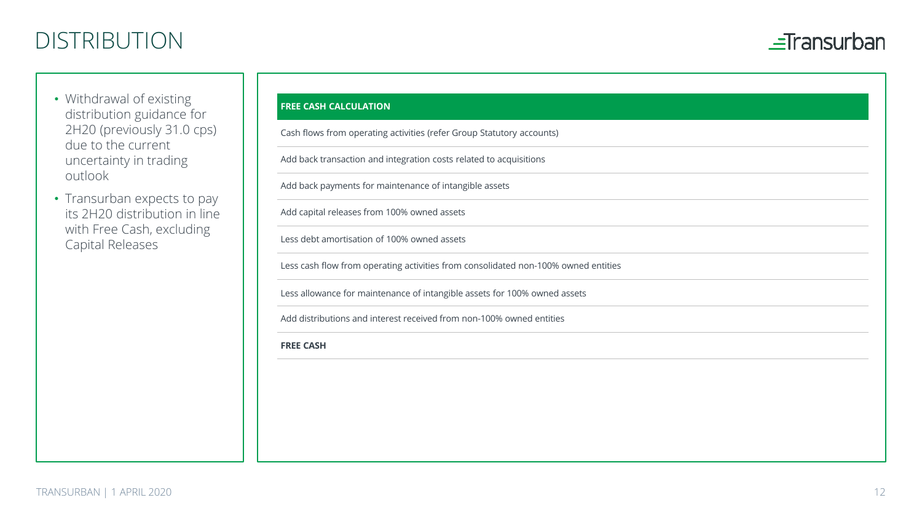# DISTRIBUTION



- Withdrawal of existing distribution guidance for 2H20 (previously 31.0 cps) due to the current uncertainty in trading outlook
- Transurban expects to pay its 2H20 distribution in line with Free Cash, excluding Capital Releases

#### **FREE CASH CALCULATION**

Cash flows from operating activities (refer Group Statutory accounts)

Add back transaction and integration costs related to acquisitions

Add back payments for maintenance of intangible assets

Add capital releases from 100% owned assets

Less debt amortisation of 100% owned assets

Less cash flow from operating activities from consolidated non-100% owned entities

Less allowance for maintenance of intangible assets for 100% owned assets

Add distributions and interest received from non-100% owned entities

**FREE CASH**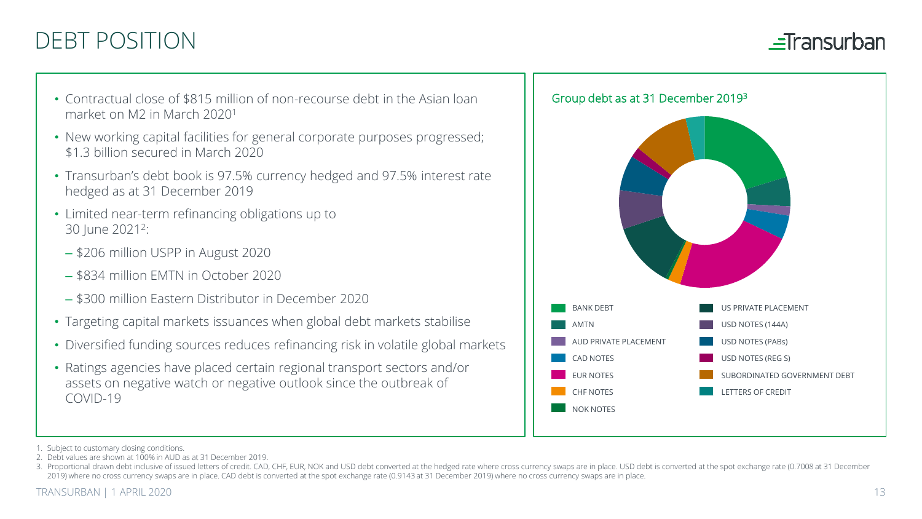# DEBT POSITION

 $=$ Transurban

- Contractual close of \$815 million of non-recourse debt in the Asian loan market on M2 in March 20201
- New working capital facilities for general corporate purposes progressed; \$1.3 billion secured in March 2020
- Transurban's debt book is 97.5% currency hedged and 97.5% interest rate hedged as at 31 December 2019
- Limited near-term refinancing obligations up to 30 June 2021<sup>2</sup>:
	- \$206 million USPP in August 2020
	- \$834 million EMTN in October 2020
	- \$300 million Eastern Distributor in December 2020
- Targeting capital markets issuances when global debt markets stabilise
- Diversified funding sources reduces refinancing risk in volatile global markets
- Ratings agencies have placed certain regional transport sectors and/or assets on negative watch or negative outlook since the outbreak of COVID-19



2. Debt values are shown at 100% in AUD as at 31 December 2019.

<sup>1.</sup> Subject to customary closing conditions.

<sup>3.</sup> Proportional drawn debt inclusive of issued letters of credit. CAD, CHF, EUR, NOK and USD debt converted at the hedged rate where cross currency swaps are in place. USD debt is converted at the spot exchange rate (0.700 2019) where no cross currency swaps are in place. CAD debt is converted at the spot exchange rate (0.9143 at 31 December 2019) where no cross currency swaps are in place.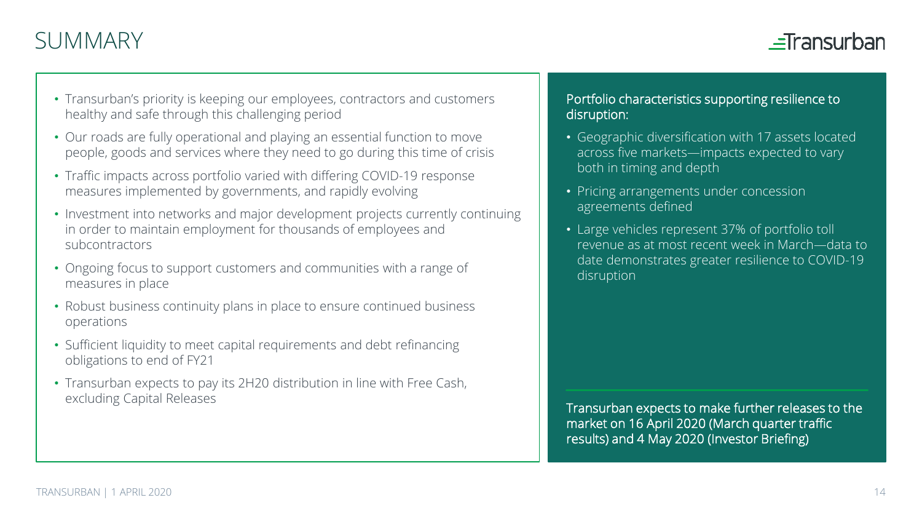# SUMMARY



- Transurban's priority is keeping our employees, contractors and customers healthy and safe through this challenging period
- Our roads are fully operational and playing an essential function to move people, goods and services where they need to go during this time of crisis
- Traffic impacts across portfolio varied with differing COVID-19 response measures implemented by governments, and rapidly evolving
- Investment into networks and major development projects currently continuing in order to maintain employment for thousands of employees and subcontractors
- Ongoing focus to support customers and communities with a range of measures in place
- Robust business continuity plans in place to ensure continued business operations
- Sufficient liquidity to meet capital requirements and debt refinancing obligations to end of FY21
- Transurban expects to pay its 2H20 distribution in line with Free Cash, excluding Capital Releases

### Portfolio characteristics supporting resilience to disruption:

- Geographic diversification with 17 assets located across five markets—impacts expected to vary both in timing and depth
- Pricing arrangements under concession agreements defined
- Large vehicles represent 37% of portfolio toll revenue as at most recent week in March—data to date demonstrates greater resilience to COVID-19 disruption

Transurban expects to make further releases to the market on 16 April 2020 (March quarter traffic results) and 4 May 2020 (Investor Briefing)